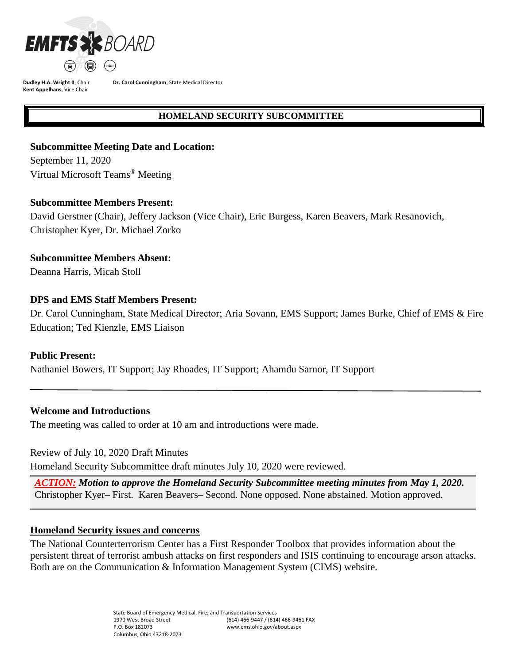

**Dudley H.A. Wright II**, Chair **Kent Appelhans**, Vice Chair

**Dr. Carol Cunningham**, State Medical Director

## **HOMELAND SECURITY SUBCOMMITTEE**

## **Subcommittee Meeting Date and Location:**

September 11, 2020 Virtual Microsoft Teams ® Meeting

### **Subcommittee Members Present:**

David Gerstner (Chair), Jeffery Jackson (Vice Chair), Eric Burgess, Karen Beavers, Mark Resanovich, Christopher Kyer, Dr. Michael Zorko

**Subcommittee Members Absent:**

Deanna Harris, Micah Stoll

# **DPS and EMS Staff Members Present:**

Dr. Carol Cunningham, State Medical Director; Aria Sovann, EMS Support; James Burke, Chief of EMS & Fire Education; Ted Kienzle, EMS Liaison

# **Public Present:**

Nathaniel Bowers, IT Support; Jay Rhoades, IT Support; Ahamdu Sarnor, IT Support

## **Welcome and Introductions**

The meeting was called to order at 10 am and introductions were made.

Review of July 10, 2020 Draft Minutes

Homeland Security Subcommittee draft minutes July 10, 2020 were reviewed.

*ACTION: Motion to approve the Homeland Security Subcommittee meeting minutes from May 1, 2020.*  Christopher Kyer– First. Karen Beavers– Second. None opposed. None abstained. Motion approved.

### **Homeland Security issues and concerns**

The National Counterterrorism Center has a First Responder Toolbox that provides information about the persistent threat of terrorist ambush attacks on first responders and ISIS continuing to encourage arson attacks. Both are on the Communication & Information Management System (CIMS) website.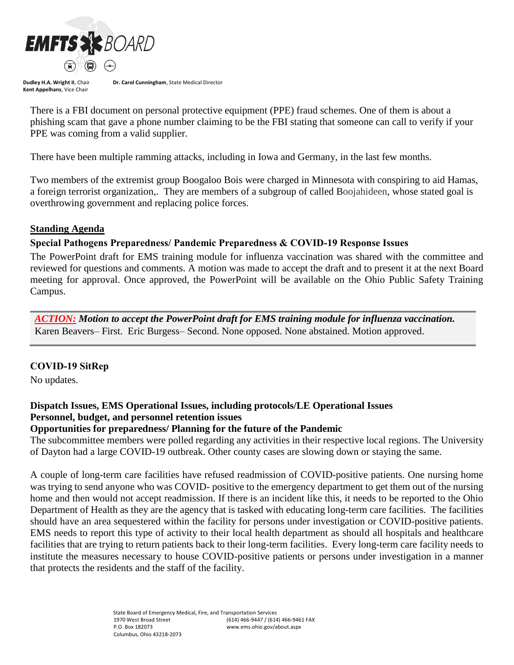

**Dudley H.A. Wright II**, Chair **Kent Appelhans**, Vice Chair

**Dr. Carol Cunningham**, State Medical Director

There is a FBI document on personal protective equipment (PPE) fraud schemes. One of them is about a phishing scam that gave a phone number claiming to be the FBI stating that someone can call to verify if your PPE was coming from a valid supplier.

There have been multiple ramming attacks, including in Iowa and Germany, in the last few months.

Two members of the extremist group Boogaloo Bois were charged in Minnesota with conspiring to aid Hamas, a foreign terrorist organization,. They are members of a subgroup of called Boojahideen, whose stated goal is overthrowing government and replacing police forces.

### **Standing Agenda**

## **Special Pathogens Preparedness/ Pandemic Preparedness & COVID-19 Response Issues**

The PowerPoint draft for EMS training module for influenza vaccination was shared with the committee and reviewed for questions and comments. A motion was made to accept the draft and to present it at the next Board meeting for approval. Once approved, the PowerPoint will be available on the Ohio Public Safety Training Campus.

*ACTION: Motion to accept the PowerPoint draft for EMS training module for influenza vaccination.*  Karen Beavers– First. Eric Burgess– Second. None opposed. None abstained. Motion approved.

### **COVID-19 SitRep**

No updates.

## **Dispatch Issues, EMS Operational Issues, including protocols/LE Operational Issues Personnel, budget, and personnel retention issues**

### **Opportunities for preparedness/ Planning for the future of the Pandemic**

The subcommittee members were polled regarding any activities in their respective local regions. The University of Dayton had a large COVID-19 outbreak. Other county cases are slowing down or staying the same.

A couple of long-term care facilities have refused readmission of COVID-positive patients. One nursing home was trying to send anyone who was COVID- positive to the emergency department to get them out of the nursing home and then would not accept readmission. If there is an incident like this, it needs to be reported to the Ohio Department of Health as they are the agency that is tasked with educating long-term care facilities. The facilities should have an area sequestered within the facility for persons under investigation or COVID-positive patients. EMS needs to report this type of activity to their local health department as should all hospitals and healthcare facilities that are trying to return patients back to their long-term facilities. Every long-term care facility needs to institute the measures necessary to house COVID-positive patients or persons under investigation in a manner that protects the residents and the staff of the facility.